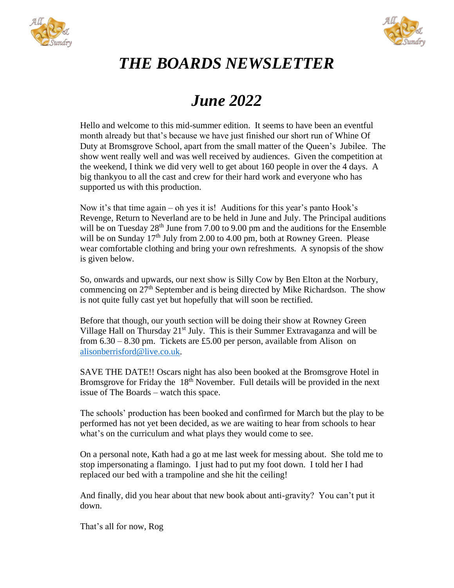



## *THE BOARDS NEWSLETTER*

## *June 2022*

Hello and welcome to this mid-summer edition. It seems to have been an eventful month already but that's because we have just finished our short run of Whine Of Duty at Bromsgrove School, apart from the small matter of the Queen's Jubilee. The show went really well and was well received by audiences. Given the competition at the weekend, I think we did very well to get about 160 people in over the 4 days. A big thankyou to all the cast and crew for their hard work and everyone who has supported us with this production.

Now it's that time again – oh yes it is! Auditions for this year's panto Hook's Revenge, Return to Neverland are to be held in June and July. The Principal auditions will be on Tuesday 28<sup>th</sup> June from 7.00 to 9.00 pm and the auditions for the Ensemble will be on Sunday  $17<sup>th</sup>$  July from 2.00 to 4.00 pm, both at Rowney Green. Please wear comfortable clothing and bring your own refreshments. A synopsis of the show is given below.

So, onwards and upwards, our next show is Silly Cow by Ben Elton at the Norbury, commencing on 27<sup>th</sup> September and is being directed by Mike Richardson. The show is not quite fully cast yet but hopefully that will soon be rectified.

Before that though, our youth section will be doing their show at Rowney Green Village Hall on Thursday  $21^{st}$  July. This is their Summer Extravaganza and will be from  $6.30 - 8.30$  pm. Tickets are £5.00 per person, available from Alison on [alisonberrisford@live.co.uk.](mailto:alisonberrisford@live.co.uk)

SAVE THE DATE!! Oscars night has also been booked at the Bromsgrove Hotel in Bromsgrove for Friday the 18<sup>th</sup> November. Full details will be provided in the next issue of The Boards – watch this space.

The schools' production has been booked and confirmed for March but the play to be performed has not yet been decided, as we are waiting to hear from schools to hear what's on the curriculum and what plays they would come to see.

On a personal note, Kath had a go at me last week for messing about. She told me to stop impersonating a flamingo. I just had to put my foot down. I told her I had replaced our bed with a trampoline and she hit the ceiling!

And finally, did you hear about that new book about anti-gravity? You can't put it down.

That's all for now, Rog